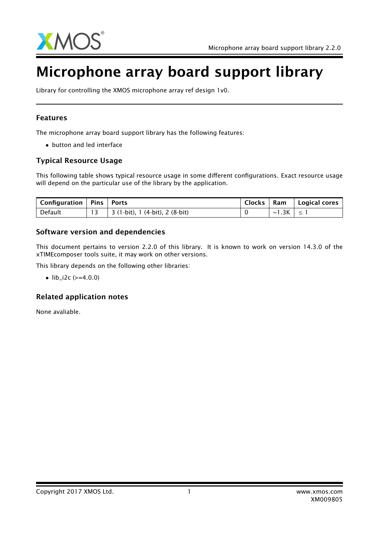

# Microphone array board support library

Library for controlling the XMOS microphone array ref design 1v0.

### Features

The microphone array board support library has the following features:

• button and led interface

### Typical Resource Usage

This following table shows typical resource usage in some different configurations. Exact resource usage will depend on the particular use of the library by the application.

| Configuration   Pins   Ports |                                         | <b>Clocks</b> |                    | Ram   Logical cores |
|------------------------------|-----------------------------------------|---------------|--------------------|---------------------|
| Default                      | $\vert$ 3 (1-bit), 1 (4-bit), 2 (8-bit) |               | $\sim$ 1.3K $\leq$ |                     |

#### Software version and dependencies

This document pertains to version 2.2.0 of this library. It is known to work on version 14.3.0 of the xTIMEcomposer tools suite, it may work on other versions.

This library depends on the following other libraries:

•  $lib_12c (=4.0.0)$ 

### Related application notes

None avaliable.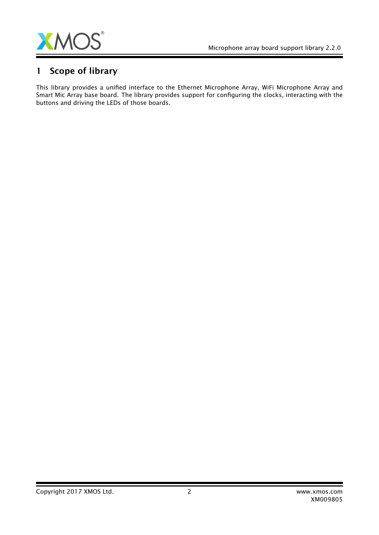

# 1 Scope of library

This library provides a unified interface to the Ethernet Microphone Array, WiFi Microphone Array and Smart Mic Array base board. The library provides support for configuring the clocks, interacting with the buttons and driving the LEDs of those boards.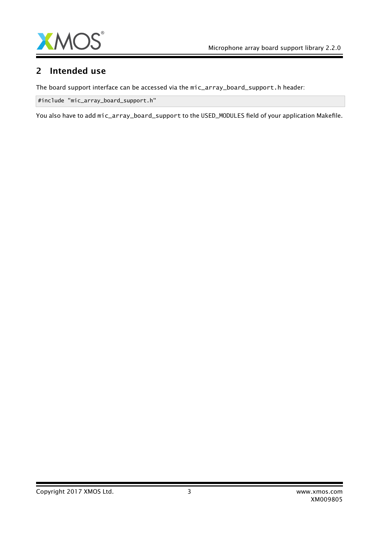

### 2 Intended use

The board support interface can be accessed via the mic\_array\_board\_support.h header:

#include "mic\_array\_board\_support.h"

You also have to add mic\_array\_board\_support to the USED\_MODULES field of your application Makefile.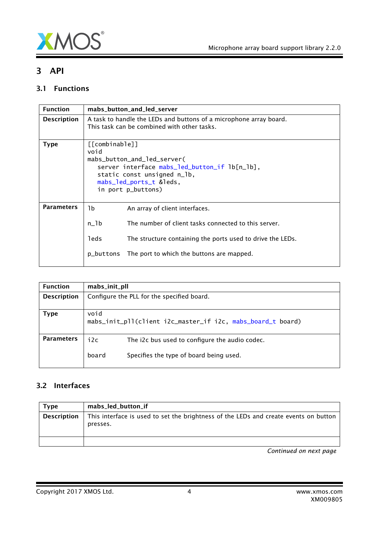

Ξ

## 3 API

### 3.1 Functions

| <b>Function</b>    | mabs_button_and_led_server                                                                                                                                                             |                                                                                                                   |  |
|--------------------|----------------------------------------------------------------------------------------------------------------------------------------------------------------------------------------|-------------------------------------------------------------------------------------------------------------------|--|
| <b>Description</b> |                                                                                                                                                                                        | A task to handle the LEDs and buttons of a microphone array board.<br>This task can be combined with other tasks. |  |
| <b>Type</b>        | [[combinable]]<br>void<br>mabs_button_and_led_server(<br>server interface mabs_led_button_if lb[n_lb],<br>static const unsigned n_lb,<br>mabs_led_ports_t &leds,<br>in port p_buttons) |                                                                                                                   |  |
| <b>Parameters</b>  | 1b                                                                                                                                                                                     | An array of client interfaces.                                                                                    |  |
|                    | $n_l$                                                                                                                                                                                  | The number of client tasks connected to this server.                                                              |  |
|                    | leds                                                                                                                                                                                   | The structure containing the ports used to drive the LEDs.                                                        |  |
|                    | p_buttons                                                                                                                                                                              | The port to which the buttons are mapped.                                                                         |  |

| <b>Function</b>    | mabs_init_pll                              |                                                                                           |
|--------------------|--------------------------------------------|-------------------------------------------------------------------------------------------|
| <b>Description</b> | Configure the PLL for the specified board. |                                                                                           |
| Type               | void                                       | mabs_init_pll(client i2c_master_if i2c, mabs_board_t board)                               |
| <b>Parameters</b>  | i2c<br>board                               | The i2c bus used to configure the audio codec.<br>Specifies the type of board being used. |

### 3.2 Interfaces

<span id="page-3-0"></span>

| Type               | mabs_led_button_if                                                                               |
|--------------------|--------------------------------------------------------------------------------------------------|
| <b>Description</b> | This interface is used to set the brightness of the LEDs and create events on button<br>presses. |
|                    |                                                                                                  |

*Continued on next page*

Copyright 2017 XMOS Ltd. 4 www.xmos.com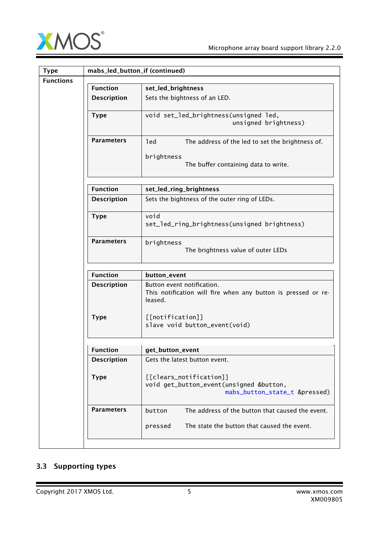

| <b>Type</b>      |                    | mabs_led_button_if (continued)                                                                                       |  |  |
|------------------|--------------------|----------------------------------------------------------------------------------------------------------------------|--|--|
| <b>Functions</b> | <b>Function</b>    | set_led_brightness                                                                                                   |  |  |
|                  |                    |                                                                                                                      |  |  |
|                  | <b>Description</b> | Sets the bightness of an LED.                                                                                        |  |  |
|                  | <b>Type</b>        | void set_led_brightness(unsigned led,<br>unsigned brightness)                                                        |  |  |
|                  | <b>Parameters</b>  | led<br>The address of the led to set the brightness of.<br>brightness<br>The buffer containing data to write.        |  |  |
|                  | <b>Function</b>    | set_led_ring_brightness                                                                                              |  |  |
|                  | <b>Description</b> | Sets the bightness of the outer ring of LEDs.                                                                        |  |  |
|                  | <b>Type</b>        | void<br>set_led_ring_brightness(unsigned brightness)                                                                 |  |  |
|                  | <b>Parameters</b>  | brightness<br>The brightness value of outer LEDs                                                                     |  |  |
|                  | <b>Function</b>    | button_event                                                                                                         |  |  |
|                  | <b>Description</b> | Button event notification.<br>This notification will fire when any button is pressed or re-<br>leased.               |  |  |
|                  | <b>Type</b>        | [[notification]]<br>slave void button_event(void)                                                                    |  |  |
|                  | Function           | get_button_event                                                                                                     |  |  |
|                  | <b>Description</b> | Gets the latest button event.                                                                                        |  |  |
|                  | <b>Type</b>        | [[clears_notification]]<br>void get_button_event(unsigned &button,<br>mabs_button_state_t &pressed)                  |  |  |
|                  | <b>Parameters</b>  | The address of the button that caused the event.<br>button<br>The state the button that caused the event.<br>pressed |  |  |
|                  |                    |                                                                                                                      |  |  |

### <span id="page-4-0"></span>3.3 Supporting types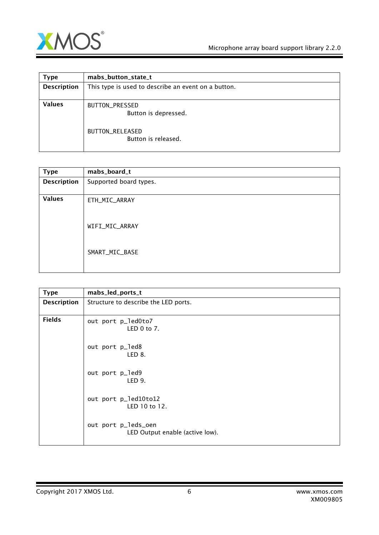

| <b>Type</b>        | mabs_button_state_t                                                              |
|--------------------|----------------------------------------------------------------------------------|
| <b>Description</b> | This type is used to describe an event on a button.                              |
| <b>Values</b>      | BUTTON_PRESSED<br>Button is depressed.<br>BUTTON_RELEASED<br>Button is released. |

<span id="page-5-1"></span>

| <b>Type</b>        | mabs_board_t           |
|--------------------|------------------------|
| <b>Description</b> | Supported board types. |
| <b>Values</b>      | ETH_MIC_ARRAY          |
|                    | WIFI_MIC_ARRAY         |
|                    | SMART_MIC_BASE         |

<span id="page-5-0"></span>

| <b>Type</b>        | mabs_led_ports_t                                       |
|--------------------|--------------------------------------------------------|
| <b>Description</b> | Structure to describe the LED ports.                   |
| <b>Fields</b>      | out port p_led0to7<br>LED $0$ to $7$ .                 |
|                    | out port p_led8<br>LED 8.                              |
|                    | out port p_led9<br>LED 9.                              |
|                    | out port p_led10to12<br>LED 10 to 12.                  |
|                    | out port p_leds_oen<br>LED Output enable (active low). |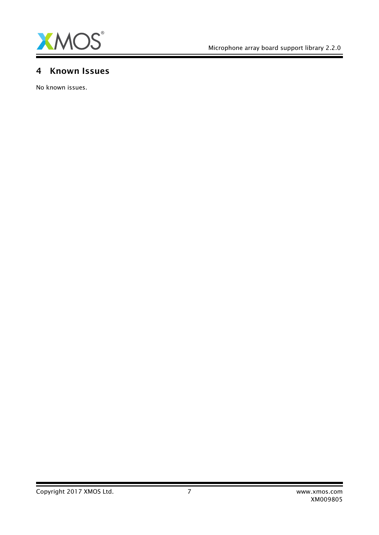

Ξ

### 4 Known Issues

No known issues.